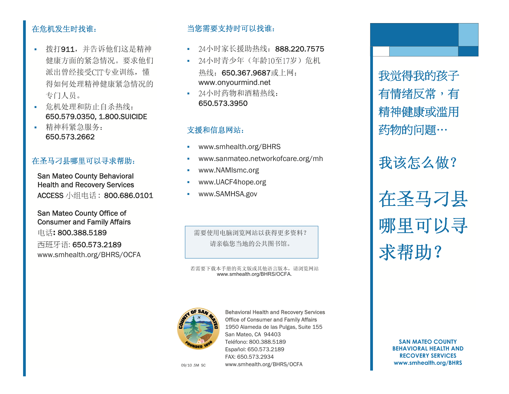#### 在危机发生时找谁:

- 拨打911,并告诉他们这是精神 健康方面的紧急情况。要求他们 派出曾经接受CIT专业训练,懂 得如何处理精神健康紧急情况的 专门人员。
- 危机处理和防止自杀热线: 650.579.0350, 1.800.SUICIDE
- 精神科紧急服务: 650.573.2662

#### 在圣马刁县哪里可以寻求帮助:

San Mateo County Behavioral Health and Recovery Services ACCESS 小组电话 : 800.686.0101

San Mateo County Office of Consumer and Family Affairs 电话**:** 800.388.5189 西班牙语: 650.573.2189 www.smhealth.org/BHRS/OCFA

#### 当您需要支持时可以找谁:

- 24小时家长援助热线: 888.220.7575
- 24小时青少年(年龄10至17岁)危机 热线: 650.367.9687或上网: www.onyourmind.net
- 24小时药物和酒精热线: 650.573.3950

#### 支援和信息网站:

- $\bar{\phantom{a}}$ www.smhealth.org/BHRS
- **Contract Contract** www.sanmateo.networkofcare.org/mh
- $\bar{\phantom{a}}$ www.NAMIsmc.org
- **Contract Contract** www.UACF4hope.org
- **Contract Contract** www.SAMHSA.gov

需要使用电脑浏览网站以获得更多资料? 请亲临您当地的公共图书馆。

#### 若需要下载本手册的英文版或其他语言版本,请浏览网站 www.smhealth.org/BHRS/OCFA.



09/10 .5M SC **www.smhealth.org/BHRS/OCFA www.smhealth.org/BHRS** Behavioral Health and Recovery Services Office of Consumer and Family Affairs 1950 Alameda de las Pulgas, Suite 155 San Mateo, CA 94403 Teléfono: 800.388.5189 Español: 650.573.2189 FAX: 650.573.2934

我觉得我的孩子 有情绪反常,有 精神健康或滥用 药物的问题…

我该怎么做?

在圣马刁县 哪里可以寻 求帮助?

> **SAN MATEO COUNTY BEHAVIORAL HEALTH AND RECOVERY SERVICES**